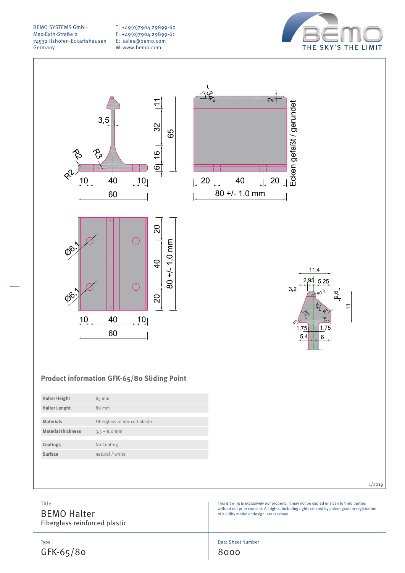T: +49(0)7904 29899-60 F: +49(0)7904 29899-61 E: sales@bemo.com W:www.bemo.com







| <b>Halter Height</b>      | $65$ mm                       |
|---------------------------|-------------------------------|
| <b>Halter Lenght</b>      | 80 mm                         |
|                           |                               |
| <b>Materials</b>          | Fiberglass reinforced plastic |
| <b>Material thickness</b> | $3,5 - 8,0$ mm                |
|                           |                               |
| Coatings                  | No Coating                    |
| Surface                   | natural / white               |
|                           |                               |

Title

BEMO Halter Fiberglass reinforced plastic





This drawing is exclusively our property. It may not be copied or given to third parties without our prior consent. All rights, including rights created by patent grant or registration of a utility model or design, are reserved.

1/2019

Data Sheet Number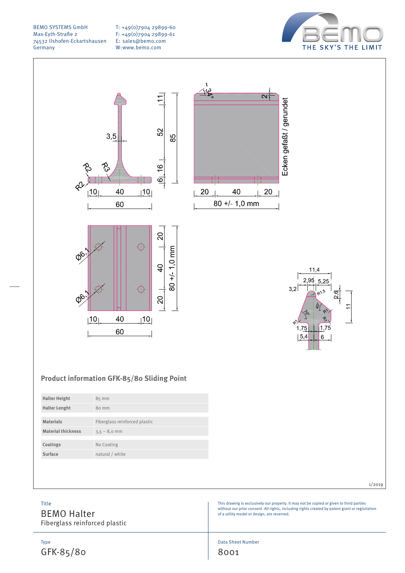T: +49(0)7904 29899-60 F: +49(0)7904 29899-61 E: sales@bemo.com W:www.bemo.com





### **Product information GFK-85/80 Sliding Point**

| <b>Halter Height</b>      | 85 mm                         |
|---------------------------|-------------------------------|
| <b>Halter Lenght</b>      | 80 mm                         |
|                           |                               |
| <b>Materials</b>          | Fiberglass reinforced plastic |
| <b>Material thickness</b> | $3,5 - 8,0$ mm                |
|                           |                               |
| Coatings                  | No Coating                    |
| Surface                   | natural / white               |
|                           |                               |

#### 1/2019

This drawing is exclusively our property. It may not be copied or given to third parties without our prior consent. All rights, including rights created by patent grant or registration of a utility model or design, are reserved.

Title

BEMO Halter Fiberglass reinforced plastic

Type GFK-85/80 Data Sheet Number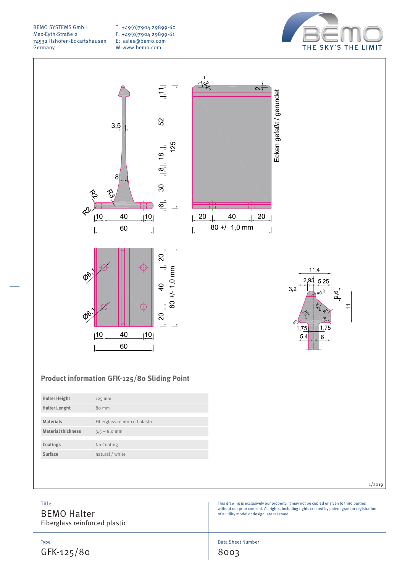T: +49(0)7904 29899-60 F: +49(0)7904 29899-61 E: sales@bemo.com W:www.bemo.com



Ecken gefaßt / gerundet



### **Product information GFK-125/80 Sliding Point**

| <b>Halter Height</b>      | 125 mm                        |
|---------------------------|-------------------------------|
| <b>Halter Lenght</b>      | 80 mm                         |
|                           |                               |
| <b>Materials</b>          | Fiberglass reinforced plastic |
| <b>Material thickness</b> | $3,5 - 8,0$ mm                |
|                           |                               |
| Coatings                  | No Coating                    |
| Surface                   | natural / white               |
|                           |                               |

#### 1/2019

This drawing is exclusively our property. It may not be copied or given to third parties without our prior consent. All rights, including rights created by patent grant or registration of a utility model or design, are reserved.

 $11.4$ 

 $2.95$ 5  $2<sup>5</sup>$ 

1,75

 $|5,4$ 

6

 $3.2$ 

BEMO Halter Fiberglass reinforced plastic

Type GFK-125/80

Title

Data Sheet Number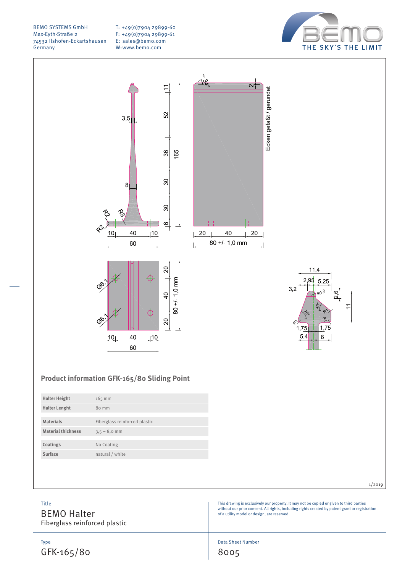T: +49(0)7904 29899-60 F: +49(0)7904 29899-61 E: sales@bemo.com W:www.bemo.com



 $\alpha$ 

20

Ecken gefaßt / gerundet



# $11.4$  $2.95$  $5.25$  $3.2$ 1,75  $|5,4$ 6

### **Product information GFK-165/80 Sliding Point**

| $165$ mm                      |
|-------------------------------|
| 80 mm                         |
|                               |
| Fiberglass reinforced plastic |
| $3,5 - 8,0$ mm                |
|                               |
| No Coating                    |
| natural / white               |
|                               |

#### 1/2019

This drawing is exclusively our property. It may not be copied or given to third parties without our prior consent. All rights, including rights created by patent grant or registration of a utility model or design, are reserved.

## Title

BEMO Halter Fiberglass reinforced plastic

Type GFK-165/80 Data Sheet Number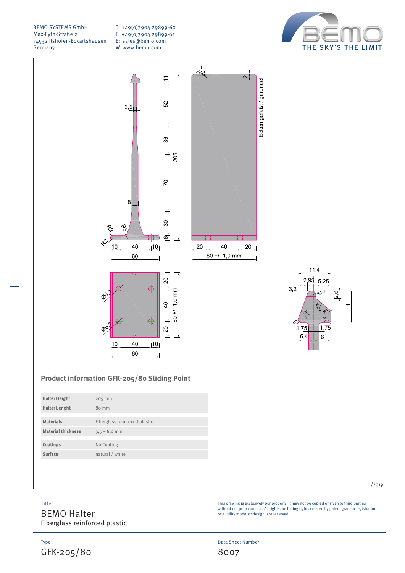T: +49(0)7904 29899-60 F: +49(0)7904 29899-61 E: sales@bemo.com W:www.bemo.com





### **Product information GFK-205/80 Sliding Point**

| <b>Halter Height</b>      | 205 mm                        |
|---------------------------|-------------------------------|
| <b>Halter Lenght</b>      | 80 mm                         |
|                           |                               |
| <b>Materials</b>          | Fiberglass reinforced plastic |
| <b>Material thickness</b> | $3,5 - 8,0$ mm                |
|                           |                               |
| Coatings                  | No Coating                    |
| Surface                   | natural / white               |

#### 1/2019

This drawing is exclusively our property. It may not be copied or given to third parties without our prior consent. All rights, including rights created by patent grant or registration of a utility model or design, are reserved.

 $11.4$ 

 $5.25$ 

6

 $2.95$ 

 $1,75$ 5.4

 $3.2$ 

BEMO Halter Fiberglass reinforced plastic

Type GFK-205/80

Title

Data Sheet Number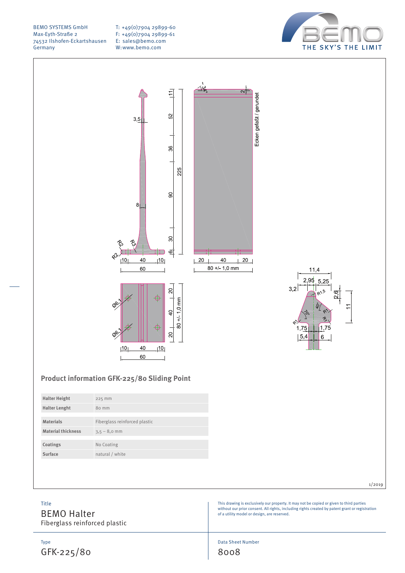T: +49(0)7904 29899-60 F: +49(0)7904 29899-61 E: sales@bemo.com W:www.bemo.com



Ecken gefaßt / gerundet

 $20$ 





### **Product information GFK-225/80 Sliding Point**

#### 1/2019

This drawing is exclusively our property. It may not be copied or given to third parties without our prior consent. All rights, including rights created by patent grant or registration of a utility model or design, are reserved.

BEMO Halter

Fiberglass reinforced plastic

Type GFK-225/80

Title

Data Sheet Number